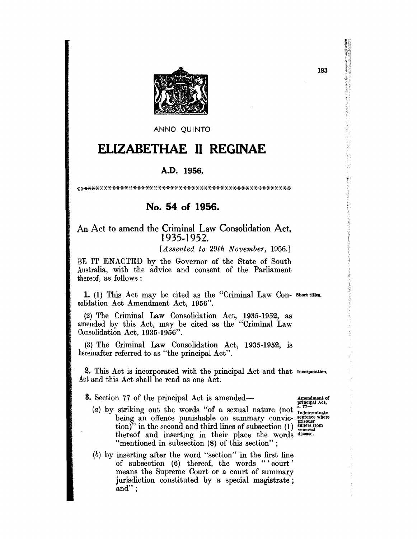

ANNO QUINTO

# **ELIZABETHAE II REGINAE**

### A.D. **1956.**

\*\*\*\*\*\*\*\*\*\*\*\*\*,}\*\*\*\*\*\*\*\*\*\*.x-\*\*\*\*\*\*\*\*\*\*\*\*\*\*\*\*\*\*\*,}\*\*\*\*\*\*\*

## **No. 54 of 1956.**

### An Act to amend the Criminal Law Consolidation Act, 1935-1952.

*[Assented to 29th November, 1956.]* 

BE IT ENACTED by the Governor of the State of South Australia, with the advice and consent of the Parliament thereof, as follows :

1. (1) This Act may be cited as the "Criminal Law Con- Short titles. solidation Act Amendment Act, 1956".

(2) The Criminal Law Consolidation Act, 1935-1952, as amended by this Act, may be cited as the "Criminal Law Consolidation Act, 1935-1956".

(3) The Criminal Law Consolidation Act, 1935-1952, is hereinafter referred to as "the principal Act".

2. This Act is incorporated with the principal Act and that Incorporation. Act and this Act shall be read as one Act.

**3.** Section 77 of the principal Act is amended—

- Section 77 of the principal Act is amended— $($ amendment of principal Act (a) by striking out the words "of a sexual nature (not  $\frac{1}{3}$ .  $77-$ (a) by striking out the words "of a sexual nature (not  $\frac{8.77}{\text{Indeterminate}}$  being an offence punishable on summary convic-  $\frac{\text{set the structure of the image}}{\text{pr}_\text{induced}}$ tion)" in the second and third lines of subsection  $(1)$  suffers from thereof and inserting in their place the words disease. "mentioned in subsection (8) of this section" ;
- (b) by inserting after the word "section" in the first line of subsection (6) thereof, the words "'court' means the Supreme Court or a court of summary jurisdiction constituted by a special magistrate; and" ;

183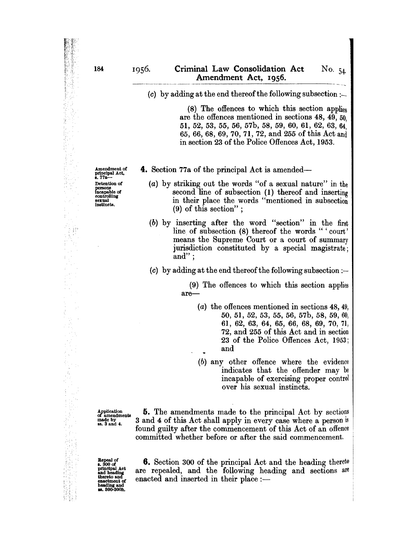#### 1956. Criminal Law Consolidation Act Amendment Act, 1956. No. 54

(8) The offences to which this section applies are the offences mentioned in sections 48, 49, 50, 51, 52, 53, 55, 56, 57b, 58, 59, 60, 61, 62, 63, 64, 65, 66, 68, 69, 70, 71, 72, and 255 of this Act and in section 23 of the Police Offences Act, 1953.

4. Section 77a of the principal Act is amended-

(a) by striking out the words "of a sexual nature" in the second line of subsection (1) thereof and inserting in their place the words "mentioned in subsection (9) of this section" ;

(b) by inserting after the word "section" in the first line of subsection (8) thereof the words "'court' means the Supreme Court or a court of summary jurisdiction constituted by a special magistrate; and" ;

(c) by adding at the end thereof the following subsection :-

(9) The offences to which this section applies are-

- (a) the offences mentioned in sections 48, 49, 50, 51, 52, 53, 55, 56, 57b, 58, 59, 60, 61, 62, 63, 64, 65, 66, 68, 69, 70, 71, 72, and 255 of this Act and in section 23 of the Police Offences Act, 1953; and
- (b) any other offence where the evidence indicates that the offender may be incapable of exercising proper control over his sexual instincts.

Application of amendments  $\frac{1}{2}$  ss.  $3$  and  $4$ .

5. The amendments made to the principal Act by sections 3 and 4 of this Act shall apply in every case where a person is found guilty after the commencement of this Act of an offence committed whether before or after the said commencement.

Repeal of<br> **s.** 300 of<br>
principal Act<br>
and heading<br>
thereto and<br>
enactment of heading and<br>ss. 300–300h.

**6.** Section 300 of the principal Act and the heading thereto are repealed, and the following heading and sections are enacted and inserted in their place  $:$   $-$ 

Amendment of<br>principal Act,<br>s. 77a---Detention of persons Incapable of controlling sexual<br>instincts.

 $\frac{1}{\sqrt{2}}$ 

 $\ddot{\cdot}$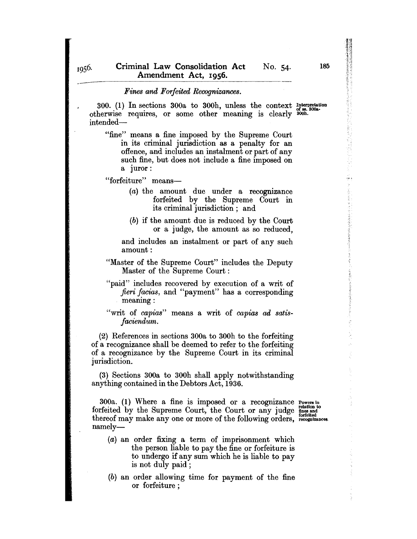#### *Fines and Forfeited Recognizances.*

300. (1) In sections 300a to 300h, unless the context Interpretation otherwise requires, or some other meaning is clearly  $^{67}$  some intended-

"fine" means a fine imposed by the Supreme Court in its criminal jurisdiction as a penalty for an offence, and includes an instalment or part of any such fine, but does not include a fine imposed on a Juror:

"forfeiture" means-

- (a) the amount due under a recognizance forfeited by the Supreme Court in its criminal jurisdiction; and
- (b) if the amount due is reduced by the Court or a judge, the amount as so reduced,

and includes an instalment or part of any such amount:

- "Master of the Supreme Court" includes the Deputy Master of the Supreme Court:
- "paid" includes recovered by execution of a writ of *fieri facias,* and "payment" has a corresponding meaning:
- "writ of *capias*" means a writ of *capias ad satisfaciend'um.*

(2) References in sections 300a to 300h to the forfeiting of a recognizance shall be deemed to refer to the forfeiting of a recognizance by the Supreme Court in its criminal jurisdiction.

(3) Sections 300a to 300h shall apply notwithstanding anything contained in the Debtors Act, 1936.

300a. (1) Where a fine is imposed or a recognizance Powers in forfeited by the Supreme Court, the Court or any judge fines and thereof may make any one or more of the following orders, recognizances. namely-

- (a) an order fixing a term of imprisonment which the person liable to pay the fine or forfeiture is to undergo if any sum which he is liable to pay is not duly paid;
- (b) an order allowing time for payment of the fine or forfeiture ;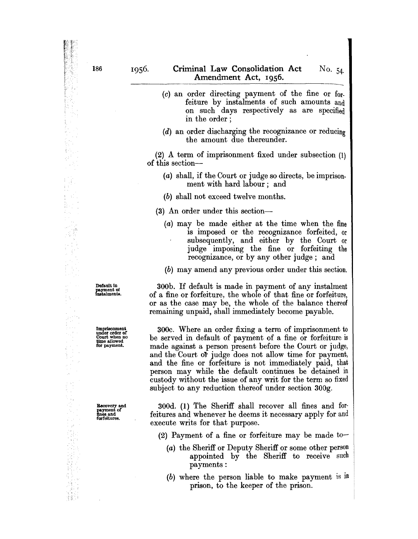- (c) an order directing payment of the fine or forfeiture by instalments of such amounts and on such days respectively as are specified in the order ;
- (d) an order discharging the recognizance or reducing the amount due thereunder.

(2) A term of imprisonment fixed under subsection (1) of this section-

- (a) shall, if the Court or judge so directs, be imprisonment with hard labour; and
- (b) shall not exceed twelve months.
- (3) An order under this section-
	- (a) may be made either at the time when the fine is imposed or the recognizance forfeited, or subsequently, and either by the Court or judge imposing the fine or forfeiting the recognizance, or by any other judge; and
	- (b) may amend any previous order under this section.

300b. If default is made in payment of any instalment of a fine or forfeiture, the whole of that fine or forfeiture, or as the case may be, the whole of the balance thereof remaining unpaid, shall immediately become payable.

300c. Where an order fixing a term of imprisonment to be served in default of payment of a fine or forfeiture is made against a person present before the Court or judge, and the Court of judge does not allow time for payment, and the fine or forfeiture is not immediately paid, that person may while the default continues be detained in custody without the issue of any writ for the term so fixed subject to any reduction thereof under section 300g.

300d. (1) The Sheriff shall recover all fines and forfeitures and whenever he deems it necessary apply for and execute writs for that purpose.

(2) Payment of a fine or forfeiture may be made to-

- (a) the Sheriff or Deputy Sheriff or some other person appointed by the Sheriff to receive such payments:
- (b) where the person liable to make payment is in prison, to the keeper of the prison.

Default In payment of Instalments.

Imprisonmen' under order of Court when no time allowed for payment.

Recovery and payment of<br>fines and<br>forfeitures.

ξų,

J.

법을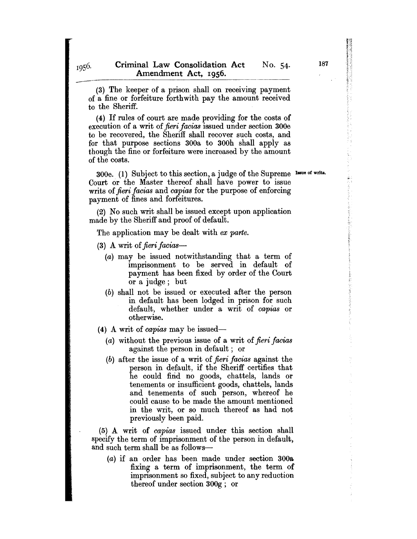(3) The keeper of a prison shall on receiving payment of a fine or forfeiture forthwith pay the amount received to the Sheriff.

(4) If rules of court are made providing for the costs of execution of a writ of *fieri facias* issued under section 300e to be recovered, the Sheriff shall recover such costs, and for that purpose sections 300a to 300h shall apply as though the fine or forfeiture were increased by the amount of the costs.

300e. (1) Subject to this section, a judge of the Supreme Issue of write. Court or the Master thereof shall have power to issue writs of *fieri facias* and *capias* for the purpose of enforcing payment of fines and forfeitures.

(2) No such writ shall be issued except upon application made by the Sheriff and proof of default.

The application may be dealt with *ex parte.* 

- (3) A writ of *fieri* facias-
	- (a) may be issued notwithstanding that a term of imprisonment to be served in default of payment has been fixed by order of the Court or a judge; but
	- (b) shall not be issued or executed after the person in default has been lodged in prison for such default, whether under a writ of *capias* or otherwise.
- (4) A writ of *capias* may be issued-
	- *(a)* without the previous issue of a writ of *fieri facias*  against the person in default; or
	- (b) after the issue of a writ of *fieri facias* against the person in default, if the Sheriff certifies that he could firid no goods, chattels, lands or tenements or insufficient goods, chattels, lands and tenements of such person, whereof he could cause to be made the amount mentioned in the writ, or so much thereof as had not previously been paid.

(5) A writ of *capias* issued under this section shall specify the term of imprisonment of the person in default, and such term shall be as follows-

(a) if an order has been made under section 300a fixing a term of imprisonment, the term of imprisonment so fixed, subject to any reduction thereof under section 300g; or

 $\ddot{\tilde{y}}$  .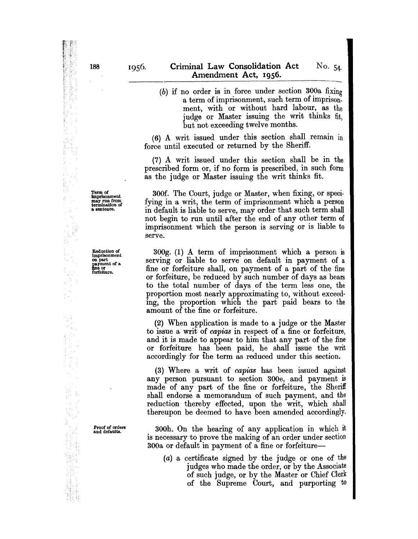(b) if no order is in force under section 300a fixing a term of imprisonment, such term of imprisonment, with or without hard labour, as the judge or Master issuing the writ thinks fit, but not exceeding twelve months.

(6) A writ issued under this section shall remain in force until executed or returned by the Sheriff.

(7) A writ issued under this section shall be in the prescribed form or, if no form is prescribed, in such form as the judge or Master issuing the writ thinks fit.

300f. The Court, judge or Master, when fixing, or specifying in a writ, the term of imprisonment which a person in default is liable to serve, may order that such term shall not begin to run until after the end of any other term of imprisonment which the person is serving or is liable to serve.

300g. (1) A term of imprisonment which a person is serving or liable to serve on default in payment of a fine or forfeiture shall, on payment of a part of the fine or forfeiture, be reduced by such number of days as bears to the total number of days of the term less one, the proportion most nearly approximating to, without exceeding, the proportion which the part paid bears to the amount of the fine or forfeiture.

(2) When application is made to a judge or the Master to issue a writ of *capias* in respect of a fine or forfeiture, and it is made to appear to him that any part of the fine or forfeiture has been paid, he shall issue the writ accordingly for the term as reduced under this section.

(3) Where a writ of *capias* has been issued against any person pursuant to section 300e, and payment is made of any part of the fine or forfeiture, the Sheriff shall endorse a memorandum of such payment, and the reduction thereby effected, upon the writ, which shall thereupon be deemed to have been amended accordingly.

300h. On the hearing of any application in which it is necessary to prove the making of an order under section 300a or default in payment of a fine or forfeiture-

(a) a certificate signed by the judge or one of the judges who made the order, or by the Associate of such judge, or by the Master or Chief Clerk of the Supreme Court, and purporting to

Term of imprisonment may run from termination of a sentence.

Reduction of<br>
imprisonment<br>
on part<br>
payment of a<br>
fine or<br>
forfeiture.

Proof of orders and defaults.

 $\bar{z}$ 

N. 香皂 188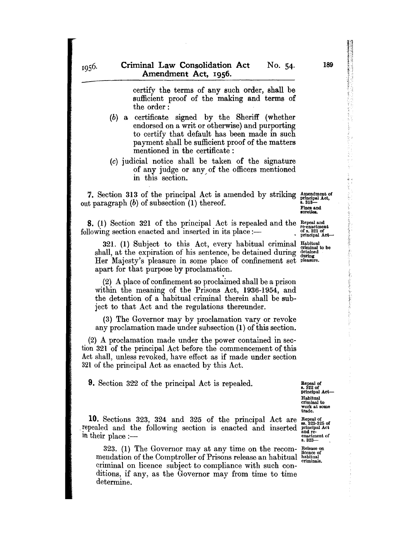certify the terms of any such order, shall be sufficient proof of the making and terms of the order:

- (b) a certificate signed by the Sheriff (whether endorsed on a writ or otherwise) and purporting to certify that default has been made in such payment shall be sufficient proof of the matters mentioned in the certificate :
- (c) judicial notice shall be taken of the signature of any judge or any of the officers mentioned in this section.

7. Section 313 of the principal Act is amended by striking  $_{principal Act.}^{American of the}$ out paragraph  $(b)$  of subsection  $(1)$  thereof.

Fines and sureties.

8. (1) Section 321 of the principal Act is repealed and the Repeal and following section enacted and inserted in its place :---

321. (1) Subject to this Act, every habitual criminal shall, at the expiration of his sentence, be detained during Her Majesty's pleasure in some place of confinement set pleasure. apart for that purpose by proclamation.<br>(2) A place of confinement so proclaimed shall be a prison Habitual criminal to be detained during

within the meaning of the Prisons Act, 1936-1954, and the detention of a habitual criminal therein shall be subject to that Act and the regulations thereunder.

(3) The Governor may by proclamation vary or revoke any proclamation made under suhsection (1) of this section.

(2) A proclamation made under the power contained in section 321 of the principal Act before the commencement of this Act shall, unless revoked, have effect as if made under section 321 of the principal Act as enacted by this Act.

9. Section 322 of the principal Act is repealed.

Repeal of<br>s. 322 of<br>principal Act— Habitual work at some<br>trade.

10. Sections 323, 324 and 325 of the principal repealed and the following section is enacted and in their place :-Act are Repeal of<br>inserted principal Act and re-<br>enactment of<br>s. 323-

323. (1) The Governor may at any time on the recom-Release on licence of mendation of the Comptroller of Prisons release an habitual habitual criminal on licence subject to compliance with such conditions, if any, as the Governor may from time to time determine. criminals.

1956.

189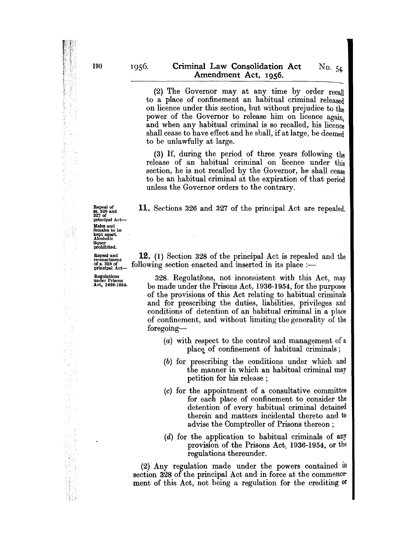(2) The Governor may at any time by order recall to a place of confinement an habitual criminal released on licence under this section, but without prejudice to the power of the Governor to release him on licence again. and when any habitual criminal is so recalled, his licence shall cease to have effect and he shall, if at large, he deemed to be unlawfully at large.

(3) If, during the period of three years following the release of an habitual criminal on licence under this section, he is not recalled hy the Governor, he shall cease to be an habitual criminal at the expiration of that period unless the Governor orders to the contrary.

11. Sections 326 and 327 of the principal Act are repealed.

**Repeal and 12.** (1) Section 328 of the principal Act is repealed and the of a. 328 of principal Act is repealed and the of a. 328 of principal Act is place :—  $\delta$  following section enacted and inserted in its place :-

Egulations<br>
under Prisons<br>
Act, 1936-1954. be made under the Prisons Act, 1936-1954, for the purposes be made under the Prisons Act, 1936-1954, for the purposes of the provisions of this Act relating to habitual criminals and for prescribing the duties, liabilities, privileges and conditions of detention of an habitual criminal in a place of confinement, and without limiting the generality of the foregoing-

- (a) with respect to the control and management of a place of confinement of habitual criminals;
- (b) for prescrihing the conditions under which and the manner in which an habitual criminal may petition for his release;
- (c) for the appointment of a consultative committee for each place of confinement to consider the detention of every habitual criminal detained therein and matters incidental thereto and to advise the Comptroller of Prisons thereon;
- (d) for the application to habitual criminals of any provision of the Prisons Act, 1936-1954, or the regulations thereunder.

(2) Any regulation made under the powers contained in section 328 of the principal Act and in force at the commencement of this Act, not being a regulation for the crediting or

Repeal of<br>88. 326 and<br>327 of principal Act-<br>Males and Males and females to be kept apart. Alcoholic liquor prohibited.

Q,

 $\langle \varphi_{\lambda} \rangle$  $\sim$   $\beta$  $\sim$ p.